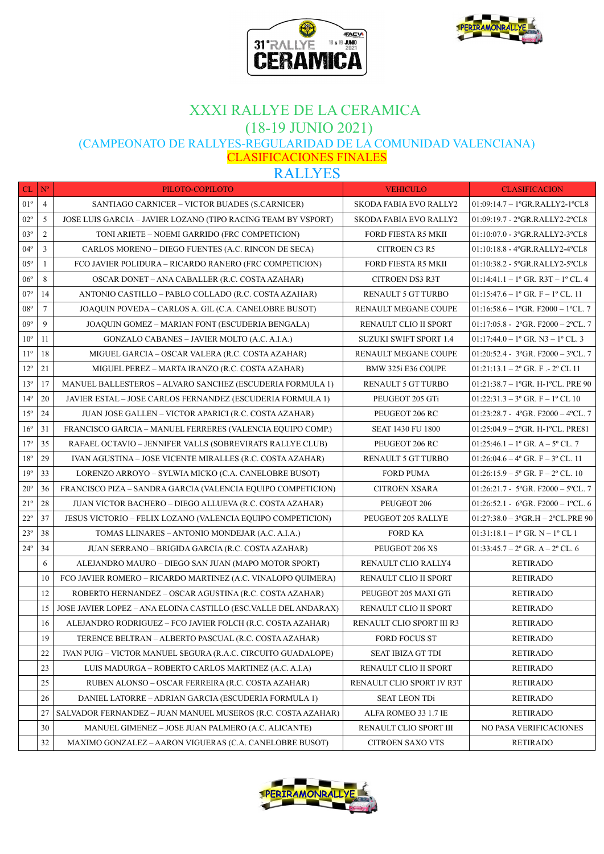



# XXXI RALLYE DE LA CERAMICA (18-19 JUNIO 2021)

(CAMPEONATO DE RALLYES-REGULARIDAD DE LA COMUNIDAD VALENCIANA)

CLASIFICACIONES FINALES

RALLYES

| CL           | $\mathbf{N}^{\mathrm{o}}$ | PILOTO-COPILOTO                                                      | <b>VEHICULO</b>               | <b>CLASIFICACION</b>                                          |
|--------------|---------------------------|----------------------------------------------------------------------|-------------------------------|---------------------------------------------------------------|
| $01^{\circ}$ | 4                         | SANTIAGO CARNICER - VICTOR BUADES (S.CARNICER)                       | <b>SKODA FABIA EVO RALLY2</b> | 01:09:14.7 - 1°GR.RALLY2-1°CL8                                |
| $02^{\circ}$ | 5                         | <b>JOSE LUIS GARCIA - JAVIER LOZANO (TIPO RACING TEAM BY VSPORT)</b> | <b>SKODA FABIA EVO RALLY2</b> | 01:09:19.7 - 2°GR.RALLY2-2°CL8                                |
| $03^{\circ}$ | $\overline{2}$            | TONI ARIETE – NOEMI GARRIDO (FRC COMPETICION)                        | <b>FORD FIESTA R5 MKII</b>    | 01:10:07.0 - 3°GR.RALLY2-3°CL8                                |
| $04^{\circ}$ | 3                         | CARLOS MORENO – DIEGO FUENTES (A.C. RINCON DE SECA)                  | CITROEN C3 R5                 | 01:10:18.8 - 4°GR.RALLY2-4°CL8                                |
| $05^{\circ}$ | -1                        | FCO JAVIER POLIDURA – RICARDO RANERO (FRC COMPETICION)               | FORD FIESTA R5 MKII           | 01:10:38.2 - 5°GR.RALLY2-5°CL8                                |
| $06^{\circ}$ | 8                         | OSCAR DONET – ANA CABALLER (R.C. COSTA AZAHAR)                       | <b>CITROEN DS3 R3T</b>        | $01:14:41.1 - 1$ <sup>o</sup> GR. R3T - 1 <sup>o</sup> CL. 4  |
| $07^{\circ}$ | 14                        | ANTONIO CASTILLO – PABLO COLLADO (R.C. COSTA AZAHAR)                 | RENAULT 5 GT TURBO            | $01:15:47.6 - 1^{\circ}$ GR. F $- 1^{\circ}$ CL. 11           |
| $08^{\circ}$ | 7                         | JOAQUIN POVEDA - CARLOS A. GIL (C.A. CANELOBRE BUSOT)                | RENAULT MEGANE COUPE          | $01:16:58.6 - 1$ GR. F2000 - 1 CL. 7                          |
| $09^{\circ}$ | 9                         | JOAQUIN GOMEZ - MARIAN FONT (ESCUDERIA BENGALA)                      | <b>RENAULT CLIO II SPORT</b>  | $01:17:05.8 - 2$ GR. F2000 - 2 CL. 7                          |
| $10^{\circ}$ | 11                        | GONZALO CABANES - JAVIER MOLTO (A.C. A.I.A.)                         | <b>SUZUKI SWIFT SPORT 1.4</b> | $01:17:44.0 - 1$ <sup>o</sup> GR. N3 - 1 <sup>o</sup> CL. 3   |
| $11^{\circ}$ | 18                        | MIGUEL GARCIA – OSCAR VALERA (R.C. COSTA AZAHAR)                     | <b>RENAULT MEGANE COUPE</b>   | $01:20:52.4 - 3^{\circ}$ GR. F2000 - 3 °CL. 7                 |
| $12^{\circ}$ | 21                        | MIGUEL PEREZ – MARTA IRANZO (R.C. COSTA AZAHAR)                      | BMW 325i E36 COUPE            | $01:21:13.1 - 2^{\circ}$ GR. F .- 2° CL 11                    |
| $13^{\circ}$ | 17                        | MANUEL BALLESTEROS – ALVARO SANCHEZ (ESCUDERIA FORMULA 1)            | <b>RENAULT 5 GT TURBO</b>     | $01:21:38.7 - 1$ <sup>o</sup> GR. H-1 <sup>o</sup> CL. PRE 90 |
| $14^{\circ}$ | 20                        | JAVIER ESTAL – JOSE CARLOS FERNANDEZ (ESCUDERIA FORMULA 1)           | PEUGEOT 205 GTi               | $01:22:31.3-3°$ GR. F - 1° CL 10                              |
| $15^{\circ}$ | 24                        | JUAN JOSE GALLEN – VICTOR APARICI (R.C. COSTA AZAHAR)                | PEUGEOT 206 RC                | $01:23:28.7 - 4$ GR. F2000 - 4 CL. 7                          |
| $16^{\circ}$ | 31                        | FRANCISCO GARCIA – MANUEL FERRERES (VALENCIA EQUIPO COMP.)           | <b>SEAT 1430 FU 1800</b>      | $01:25:04.9 - 2^{\circ}$ GR. H-1°CL. PRE81                    |
| $17^{\circ}$ | 35                        | RAFAEL OCTAVIO – JENNIFER VALLS (SOBREVIRATS RALLYE CLUB)            | PEUGEOT 206 RC                | $01:25:46.1-1$ ° GR. A – 5° CL. 7                             |
| $18^{\circ}$ | 29                        | IVAN AGUSTINA – JOSE VICENTE MIRALLES (R.C. COSTA AZAHAR)            | RENAULT 5 GT TURBO            | $01:26:04.6 - 4^{\circ}$ GR. F $-3^{\circ}$ CL. 11            |
| $19^{\circ}$ | 33                        | LORENZO ARROYO - SYLWIA MICKO (C.A. CANELOBRE BUSOT)                 | <b>FORD PUMA</b>              | $01:26:15.9 - 5^{\circ}$ GR. F $- 2^{\circ}$ CL. 10           |
| $20^{\circ}$ | 36                        | FRANCISCO PIZA – SANDRA GARCIA (VALENCIA EQUIPO COMPETICION)         | <b>CITROEN XSARA</b>          | $01:26:21.7 - 5$ GR. F2000 - 5 CL. 7                          |
| $21^{\circ}$ | 28                        | JUAN VICTOR BACHERO – DIEGO ALLUEVA (R.C. COSTA AZAHAR)              | PEUGEOT 206                   | 01:26:52.1 - 6°GR. F2000 - 1°CL. 6                            |
| $22^{\circ}$ | 37                        | <b>JESUS VICTORIO – FELIX LOZANO (VALENCIA EQUIPO COMPETICION)</b>   | PEUGEOT 205 RALLYE            | $01:27:38.0 - 3^{\circ}$ GR.H $- 2^{\circ}$ CL.PRE 90         |
| $23^{\circ}$ | 38                        | TOMAS LLINARES – ANTONIO MONDEJAR (A.C. A.I.A.)                      | <b>FORD KA</b>                | $01:31:18.1 - 1^{\circ}$ GR. N – $1^{\circ}$ CL 1             |
| $24^{\circ}$ | 34                        | JUAN SERRANO – BRIGIDA GARCIA (R.C. COSTA AZAHAR)                    | PEUGEOT 206 XS                | $01:33:45.7 - 2^{\circ}$ GR. A $- 2^{\circ}$ CL. 6            |
|              | 6                         | ALEJANDRO MAURO – DIEGO SAN JUAN (MAPO MOTOR SPORT)                  | RENAULT CLIO RALLY4           | <b>RETIRADO</b>                                               |
|              | 10                        | FCO JAVIER ROMERO – RICARDO MARTINEZ (A.C. VINALOPO QUIMERA)         | RENAULT CLIO II SPORT         | <b>RETIRADO</b>                                               |
|              | 12                        | ROBERTO HERNANDEZ - OSCAR AGUSTINA (R.C. COSTA AZAHAR)               | PEUGEOT 205 MAXI GTi          | <b>RETIRADO</b>                                               |
|              | 15                        | JOSE JAVIER LOPEZ – ANA ELOINA CASTILLO (ESC.VALLE DEL ANDARAX)      | RENAULT CLIO II SPORT         | <b>RETIRADO</b>                                               |
|              | 16                        | ALEJANDRO RODRIGUEZ – FCO JAVIER FOLCH (R.C. COSTA AZAHAR)           | RENAULT CLIO SPORT III R3     | <b>RETIRADO</b>                                               |
|              | 19                        | TERENCE BELTRAN - ALBERTO PASCUAL (R.C. COSTA AZAHAR)                | <b>FORD FOCUS ST</b>          | <b>RETIRADO</b>                                               |
|              | 22                        | IVAN PUIG – VICTOR MANUEL SEGURA (R.A.C. CIRCUITO GUADALOPE)         | <b>SEAT IBIZA GT TDI</b>      | <b>RETIRADO</b>                                               |
|              | 23                        | LUIS MADURGA - ROBERTO CARLOS MARTINEZ (A.C. A.I.A)                  | RENAULT CLIO II SPORT         | <b>RETIRADO</b>                                               |
|              | 25                        | RUBEN ALONSO - OSCAR FERREIRA (R.C. COSTA AZAHAR)                    | RENAULT CLIO SPORT IV R3T     | <b>RETIRADO</b>                                               |
|              | 26                        | DANIEL LATORRE – ADRIAN GARCIA (ESCUDERIA FORMULA 1)                 | <b>SEAT LEON TDi</b>          | <b>RETIRADO</b>                                               |
|              | 27                        | SALVADOR FERNANDEZ – JUAN MANUEL MUSEROS (R.C. COSTA AZAHAR)         | ALFA ROMEO 33 1.7 IE          | <b>RETIRADO</b>                                               |
|              | 30                        | MANUEL GIMENEZ - JOSE JUAN PALMERO (A.C. ALICANTE)                   | RENAULT CLIO SPORT III        | NO PASA VERIFICACIONES                                        |
|              | 32                        | MAXIMO GONZALEZ – AARON VIGUERAS (C.A. CANELOBRE BUSOT)              | <b>CITROEN SAXO VTS</b>       | <b>RETIRADO</b>                                               |